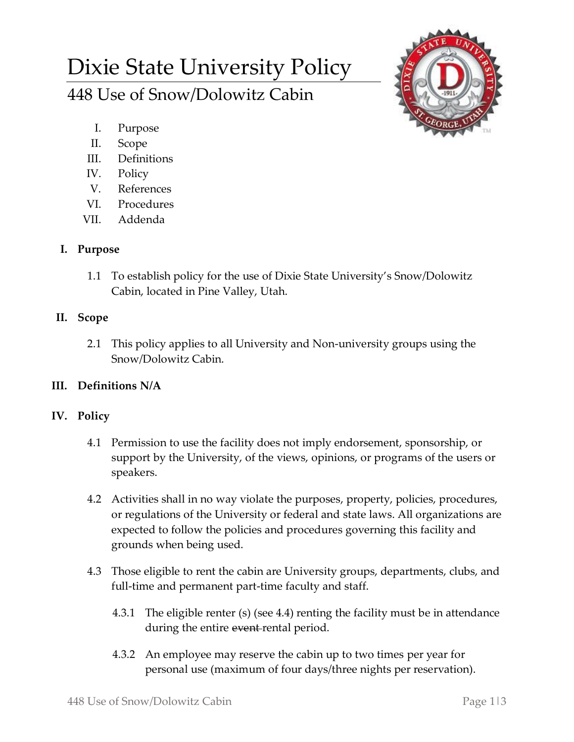# Dixie State University Policy 448 Use of Snow/Dolowitz Cabin



- I. Purpose
- II. Scope
- III. Definitions
- IV. Policy
- V. References
- VI. Procedures
- VII. Addenda

## **I. Purpose**

1.1 To establish policy for the use of Dixie State University's Snow/Dolowitz Cabin, located in Pine Valley, Utah.

## **II. Scope**

2.1 This policy applies to all University and Non-university groups using the Snow/Dolowitz Cabin.

# **III. Definitions N/A**

### **IV. Policy**

- 4.1 Permission to use the facility does not imply endorsement, sponsorship, or support by the University, of the views, opinions, or programs of the users or speakers.
- 4.2 Activities shall in no way violate the purposes, property, policies, procedures, or regulations of the University or federal and state laws. All organizations are expected to follow the policies and procedures governing this facility and grounds when being used.
- 4.3 Those eligible to rent the cabin are University groups, departments, clubs, and full-time and permanent part-time faculty and staff.
	- 4.3.1 The eligible renter (s) (see 4.4) renting the facility must be in attendance during the entire event-rental period.
	- 4.3.2 An employee may reserve the cabin up to two times per year for personal use (maximum of four days/three nights per reservation).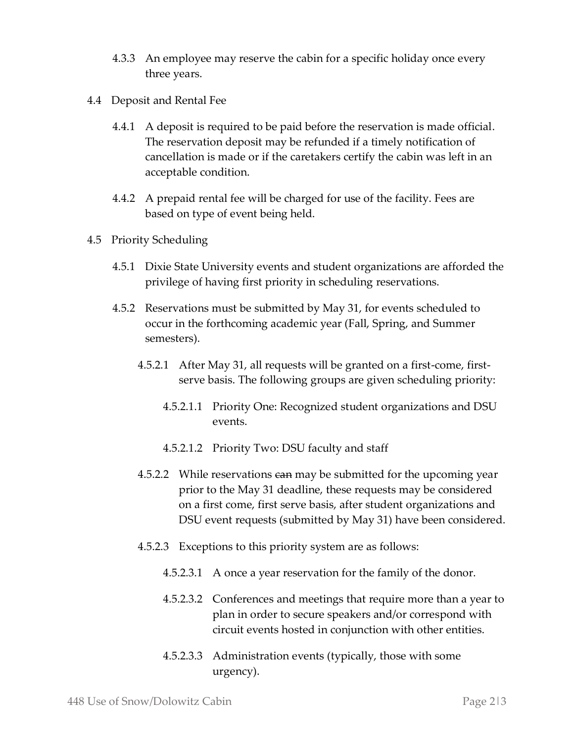- 4.3.3 An employee may reserve the cabin for a specific holiday once every three years.
- 4.4 Deposit and Rental Fee
	- 4.4.1 A deposit is required to be paid before the reservation is made official. The reservation deposit may be refunded if a timely notification of cancellation is made or if the caretakers certify the cabin was left in an acceptable condition.
	- 4.4.2 A prepaid rental fee will be charged for use of the facility. Fees are based on type of event being held.
- 4.5 Priority Scheduling
	- 4.5.1 Dixie State University events and student organizations are afforded the privilege of having first priority in scheduling reservations.
	- 4.5.2 Reservations must be submitted by May 31, for events scheduled to occur in the forthcoming academic year (Fall, Spring, and Summer semesters).
		- 4.5.2.1 After May 31, all requests will be granted on a first-come, firstserve basis. The following groups are given scheduling priority:
			- 4.5.2.1.1 Priority One: Recognized student organizations and DSU events.
			- 4.5.2.1.2 Priority Two: DSU faculty and staff
		- 4.5.2.2 While reservations can may be submitted for the upcoming year prior to the May 31 deadline, these requests may be considered on a first come, first serve basis, after student organizations and DSU event requests (submitted by May 31) have been considered.
		- 4.5.2.3 Exceptions to this priority system are as follows:
			- 4.5.2.3.1 A once a year reservation for the family of the donor.
			- 4.5.2.3.2 Conferences and meetings that require more than a year to plan in order to secure speakers and/or correspond with circuit events hosted in conjunction with other entities.
			- 4.5.2.3.3 Administration events (typically, those with some urgency).